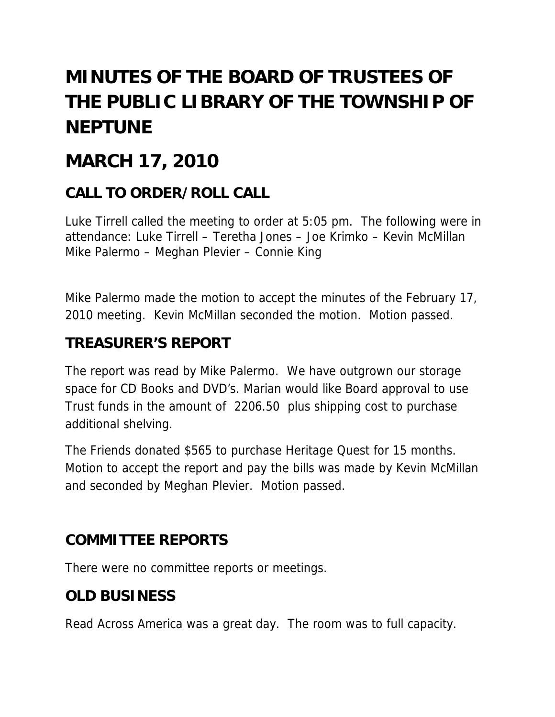# **MINUTES OF THE BOARD OF TRUSTEES OF THE PUBLIC LIBRARY OF THE TOWNSHIP OF NEPTUNE**

# **MARCH 17, 2010**

# **CALL TO ORDER/ROLL CALL**

Luke Tirrell called the meeting to order at 5:05 pm. The following were in attendance: Luke Tirrell – Teretha Jones – Joe Krimko – Kevin McMillan Mike Palermo – Meghan Plevier – Connie King

Mike Palermo made the motion to accept the minutes of the February 17, 2010 meeting. Kevin McMillan seconded the motion. Motion passed.

#### **TREASURER'S REPORT**

The report was read by Mike Palermo. We have outgrown our storage space for CD Books and DVD's. Marian would like Board approval to use Trust funds in the amount of 2206.50 plus shipping cost to purchase additional shelving.

The Friends donated \$565 to purchase Heritage Quest for 15 months. Motion to accept the report and pay the bills was made by Kevin McMillan and seconded by Meghan Plevier. Motion passed.

#### **COMMITTEE REPORTS**

There were no committee reports or meetings.

# **OLD BUSINESS**

Read Across America was a great day. The room was to full capacity.